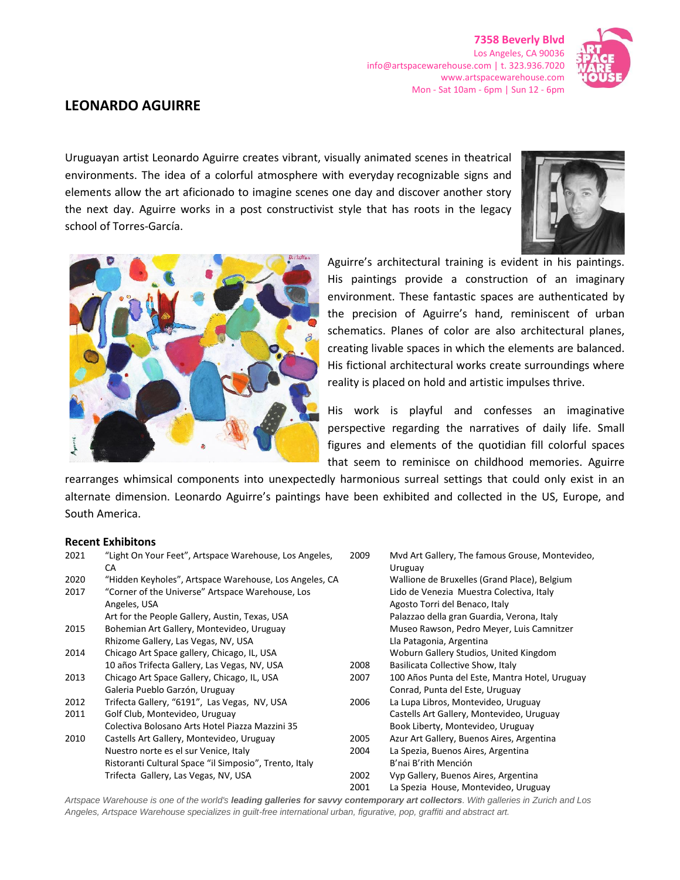**7358 Beverly Blvd** Los Angeles, CA 90036 info@artspacewarehouse.com | t. 323.936.7020 www.artspacewarehouse.com Mon - Sat 10am - 6pm | Sun 12 - 6pm



## **LEONARDO AGUIRRE**

Uruguayan artist Leonardo Aguirre creates vibrant, visually animated scenes in theatrical environments. The idea of a colorful atmosphere with everyday recognizable signs and elements allow the art aficionado to imagine scenes one day and discover another story the next day. Aguirre works in a post constructivist style that has roots in the legacy school of Torres-García.





Aguirre's architectural training is evident in his paintings. His paintings provide a construction of an imaginary environment. These fantastic spaces are authenticated by the precision of Aguirre's hand, reminiscent of urban schematics. Planes of color are also architectural planes, creating livable spaces in which the elements are balanced. His fictional architectural works create surroundings where reality is placed on hold and artistic impulses thrive.

His work is playful and confesses an imaginative perspective regarding the narratives of daily life. Small figures and elements of the quotidian fill colorful spaces that seem to reminisce on childhood memories. Aguirre

rearranges whimsical components into unexpectedly harmonious surreal settings that could only exist in an alternate dimension. Leonardo Aguirre's paintings have been exhibited and collected in the US, Europe, and South America.

## **Recent Exhibitons**

| 2021 | "Light On Your Feet", Artspace Warehouse, Los Angeles,<br>CА | 2009 | Mvd Art Gallery, The famous Grouse, Montevideo,<br>Uruguay |
|------|--------------------------------------------------------------|------|------------------------------------------------------------|
| 2020 | "Hidden Keyholes", Artspace Warehouse, Los Angeles, CA       |      | Wallione de Bruxelles (Grand Place), Belgium               |
| 2017 | "Corner of the Universe" Artspace Warehouse, Los             |      | Lido de Venezia Muestra Colectiva, Italy                   |
|      | Angeles, USA                                                 |      | Agosto Torri del Benaco, Italy                             |
|      | Art for the People Gallery, Austin, Texas, USA               |      | Palazzao della gran Guardia, Verona, Italy                 |
| 2015 | Bohemian Art Gallery, Montevideo, Uruguay                    |      | Museo Rawson, Pedro Meyer, Luis Camnitzer                  |
|      | Rhizome Gallery, Las Vegas, NV, USA                          |      | Lla Patagonia, Argentina                                   |
| 2014 | Chicago Art Space gallery, Chicago, IL, USA                  |      | Woburn Gallery Studios, United Kingdom                     |
|      | 10 años Trifecta Gallery, Las Vegas, NV, USA                 | 2008 | Basilicata Collective Show, Italy                          |
| 2013 | Chicago Art Space Gallery, Chicago, IL, USA                  | 2007 | 100 Años Punta del Este, Mantra Hotel, Uruguay             |
|      | Galeria Pueblo Garzón, Uruguay                               |      | Conrad, Punta del Este, Uruguay                            |
| 2012 | Trifecta Gallery, "6191", Las Vegas, NV, USA                 | 2006 | La Lupa Libros, Montevideo, Uruguay                        |
| 2011 | Golf Club, Montevideo, Uruguay                               |      | Castells Art Gallery, Montevideo, Uruguay                  |
|      | Colectiva Bolosano Arts Hotel Piazza Mazzini 35              |      | Book Liberty, Montevideo, Uruguay                          |
| 2010 | Castells Art Gallery, Montevideo, Uruguay                    | 2005 | Azur Art Gallery, Buenos Aires, Argentina                  |
|      | Nuestro norte es el sur Venice, Italy                        | 2004 | La Spezia, Buenos Aires, Argentina                         |
|      | Ristoranti Cultural Space "il Simposio", Trento, Italy       |      | B'nai B'rith Mención                                       |
|      | Trifecta Gallery, Las Vegas, NV, USA                         | 2002 | Vyp Gallery, Buenos Aires, Argentina                       |
|      |                                                              | 2001 | La Spezia House, Montevideo, Uruguay                       |

*Artspace Warehouse is one of the world's leading galleries for savvy contemporary art collectors. With galleries in Zurich and Los Angeles, Artspace Warehouse specializes in guilt-free international urban, figurative, pop, graffiti and abstract art.*